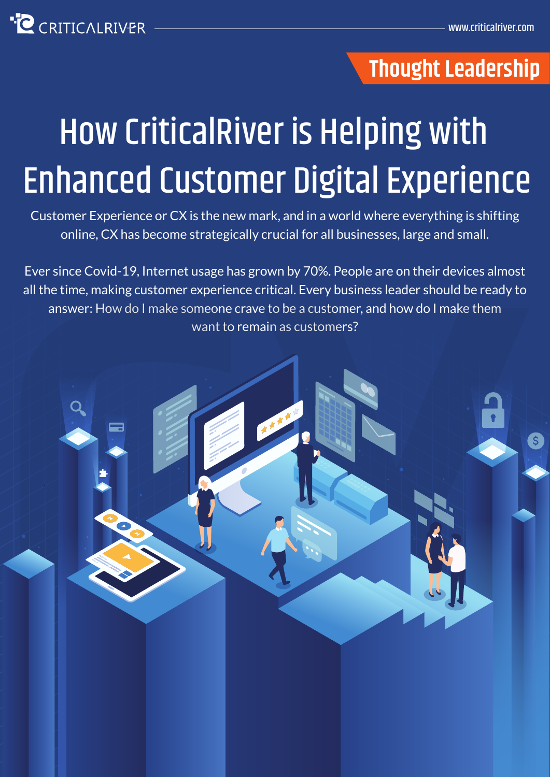## **Thought Leadership**

# How CriticalRiver is Helping with Enhanced Customer Digital Experience

Customer Experience or CX is the new mark, and in a world where everything is shifting online, CX has become strategically crucial for all businesses, large and small.

Ever since Covid-19, Internet usage has grown by 70%. People are on their devices almost all the time, making customer experience critical. Every business leader should be ready to answer: How do I make someone crave to be a customer, and how do I make them want to remain as customers? CX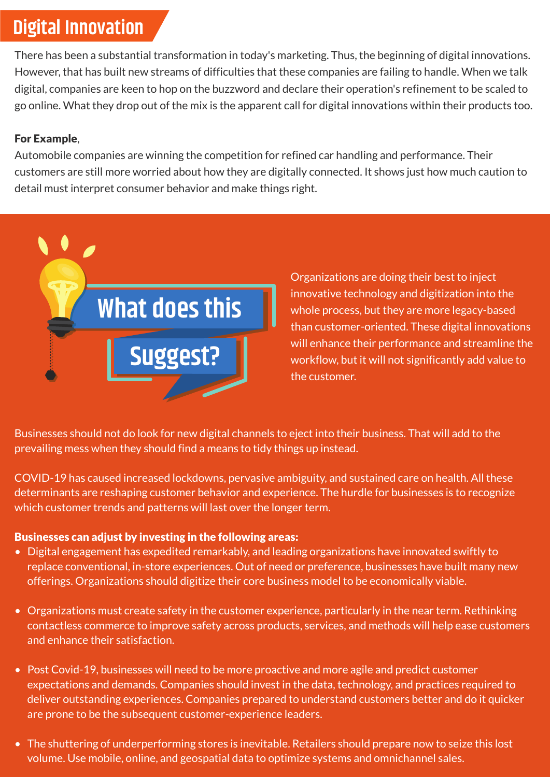## **Digital Innovation**

There has been a substantial transformation in today's marketing. Thus, the beginning of digital innovations. However, that has built new streams of difficulties that these companies are failing to handle. When we talk digital, companies are keen to hop on the buzzword and declare their operation's refinement to be scaled to go online. What they drop out of the mix is the apparent call for digital innovations within their products too.

#### For Example,

Automobile companies are winning the competition for refined car handling and performance. Their customers are still more worried about how they are digitally connected. It shows just how much caution to detail must interpret consumer behavior and make things right.



Organizations are doing their best to inject innovative technology and digitization into the whole process, but they are more legacy-based than customer-oriented. These digital innovations will enhance their performance and streamline the workflow, but it will not significantly add value to the customer.

Businesses should not do look for new digital channels to eject into their business. That will add to the prevailing mess when they should find a means to tidy things up instead.

COVID-19 has caused increased lockdowns, pervasive ambiguity, and sustained care on health. All these determinants are reshaping customer behavior and experience. The hurdle for businesses is to recognize which customer trends and patterns will last over the longer term.

#### Businesses can adjust by investing in the following areas:

- Digital engagement has expedited remarkably, and leading organizations have innovated swiftly to replace conventional, in-store experiences. Out of need or preference, businesses have built many new offerings. Organizations should digitize their core business model to be economically viable.
- Organizations must create safety in the customer experience, particularly in the near term. Rethinking contactless commerce to improve safety across products, services, and methods will help ease customers and enhance their satisfaction.
- Post Covid-19, businesses will need to be more proactive and more agile and predict customer expectations and demands. Companies should invest in the data, technology, and practices required to deliver outstanding experiences. Companies prepared to understand customers better and do it quicker are prone to be the subsequent customer-experience leaders.
- The shuttering of underperforming stores is inevitable. Retailers should prepare now to seize this lost volume. Use mobile, online, and geospatial data to optimize systems and omnichannel sales.